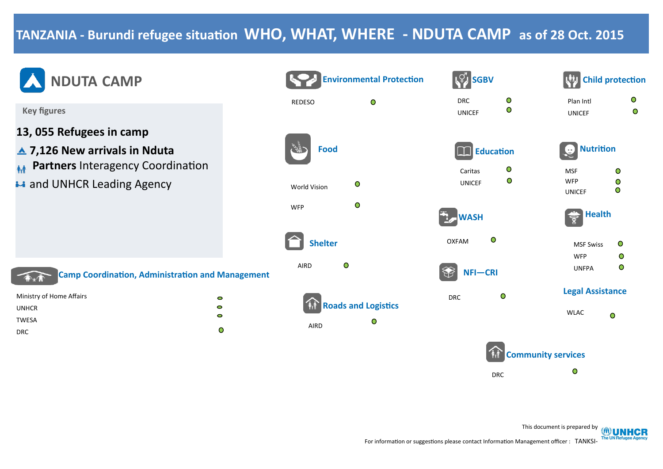## **TANZANIA - Burundi refugee situation WHO, WHAT, WHERE - NDUTA CAMP as of 28 Oct. 2015**

REDESO

AIRD

World Vision

WFP

**Shelter**

 **Food**



**Key figures**

- **13, 055 Refugees in camp**
- **▲ 7,126 New arrivals in Nduta**
- **M** Partners Interagency Coordination
- **\*\*** and UNHCR Leading Agency



**Camp Coordination, Administration and Management**

| Ministry of Home Affairs | 0 |
|--------------------------|---|
| <b>UNHCR</b>             | 0 |
| TWESA                    | o |
| <b>DRC</b>               | Ο |



| <b>Environmental Protection</b> | <b>SGBV</b>                                       | <b>Child protection</b>                                                    |  |
|---------------------------------|---------------------------------------------------|----------------------------------------------------------------------------|--|
| $\bullet$                       | $\circ$<br><b>DRC</b><br>$\circ$<br><b>UNICEF</b> | O<br>Plan Intl<br>$\overline{O}$<br><b>UNICEF</b>                          |  |
| ood                             | <b>Education</b>                                  | <b>Nutrition</b>                                                           |  |
| $\circ$<br>'n                   | O<br>Caritas<br>$\circ$<br><b>UNICEF</b>          | $\circ$<br><b>MSF</b><br><b>WFP</b><br>$\circ$<br>$\circ$<br><b>UNICEF</b> |  |
| $\bullet$                       | <b>WASH</b>                                       | <b>Health</b>                                                              |  |
| <b>Iter</b>                     | O<br><b>OXFAM</b>                                 | $\bullet$<br><b>MSF Swiss</b><br><b>WFP</b><br>$\bullet$                   |  |
| $\bullet$                       | NFI-CRI                                           | $\circ$<br><b>UNFPA</b>                                                    |  |
| <b>Roads and Logistics</b>      | $\circ$<br><b>DRC</b>                             | <b>Legal Assistance</b>                                                    |  |
| $\circ$                         |                                                   | <b>WLAC</b><br>$\bullet$                                                   |  |
|                                 |                                                   | <b>Community services</b>                                                  |  |

DRC

This document is prepared by **OUNHCR** 

 $\bullet$